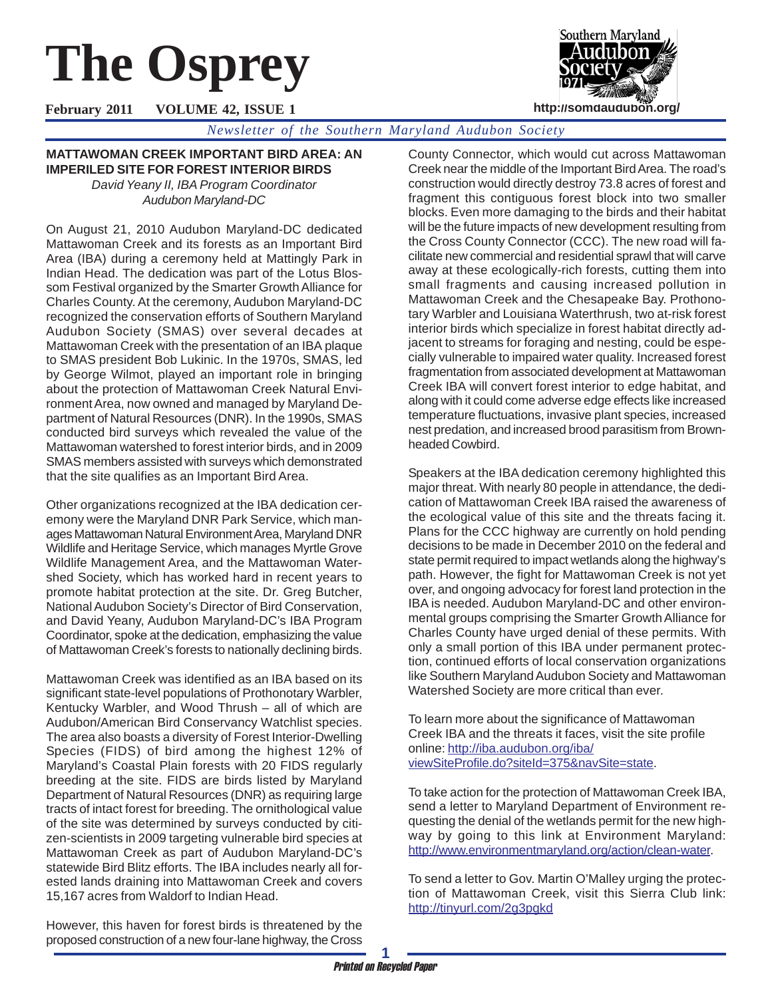# **The Osprey**

Southern Maryland **http://somdaudubon.org/**

**February 2011 VOLUME 42, ISSUE 1**

*Newsletter of the Southern Maryland Audubon Society*

**MATTAWOMAN CREEK IMPORTANT BIRD AREA: AN IMPERILED SITE FOR FOREST INTERIOR BIRDS**

*David Yeany II, IBA Program Coordinator Audubon Maryland-DC*

On August 21, 2010 Audubon Maryland-DC dedicated Mattawoman Creek and its forests as an Important Bird Area (IBA) during a ceremony held at Mattingly Park in Indian Head. The dedication was part of the Lotus Blossom Festival organized by the Smarter Growth Alliance for Charles County. At the ceremony, Audubon Maryland-DC recognized the conservation efforts of Southern Maryland Audubon Society (SMAS) over several decades at Mattawoman Creek with the presentation of an IBA plaque to SMAS president Bob Lukinic. In the 1970s, SMAS, led by George Wilmot, played an important role in bringing about the protection of Mattawoman Creek Natural Environment Area, now owned and managed by Maryland Department of Natural Resources (DNR). In the 1990s, SMAS conducted bird surveys which revealed the value of the Mattawoman watershed to forest interior birds, and in 2009 SMAS members assisted with surveys which demonstrated that the site qualifies as an Important Bird Area.

Other organizations recognized at the IBA dedication ceremony were the Maryland DNR Park Service, which manages Mattawoman Natural Environment Area, Maryland DNR Wildlife and Heritage Service, which manages Myrtle Grove Wildlife Management Area, and the Mattawoman Watershed Society, which has worked hard in recent years to promote habitat protection at the site. Dr. Greg Butcher, National Audubon Society's Director of Bird Conservation, and David Yeany, Audubon Maryland-DC's IBA Program Coordinator, spoke at the dedication, emphasizing the value of Mattawoman Creek's forests to nationally declining birds.

Mattawoman Creek was identified as an IBA based on its significant state-level populations of Prothonotary Warbler, Kentucky Warbler, and Wood Thrush – all of which are Audubon/American Bird Conservancy Watchlist species. The area also boasts a diversity of Forest Interior-Dwelling Species (FIDS) of bird among the highest 12% of Maryland's Coastal Plain forests with 20 FIDS regularly breeding at the site. FIDS are birds listed by Maryland Department of Natural Resources (DNR) as requiring large tracts of intact forest for breeding. The ornithological value of the site was determined by surveys conducted by citizen-scientists in 2009 targeting vulnerable bird species at Mattawoman Creek as part of Audubon Maryland-DC's statewide Bird Blitz efforts. The IBA includes nearly all forested lands draining into Mattawoman Creek and covers 15,167 acres from Waldorf to Indian Head.

County Connector, which would cut across Mattawoman Creek near the middle of the Important Bird Area. The road's construction would directly destroy 73.8 acres of forest and fragment this contiguous forest block into two smaller blocks. Even more damaging to the birds and their habitat will be the future impacts of new development resulting from the Cross County Connector (CCC). The new road will facilitate new commercial and residential sprawl that will carve away at these ecologically-rich forests, cutting them into small fragments and causing increased pollution in Mattawoman Creek and the Chesapeake Bay. Prothonotary Warbler and Louisiana Waterthrush, two at-risk forest interior birds which specialize in forest habitat directly adjacent to streams for foraging and nesting, could be especially vulnerable to impaired water quality. Increased forest fragmentation from associated development at Mattawoman Creek IBA will convert forest interior to edge habitat, and along with it could come adverse edge effects like increased temperature fluctuations, invasive plant species, increased nest predation, and increased brood parasitism from Brownheaded Cowbird.

Speakers at the IBA dedication ceremony highlighted this major threat. With nearly 80 people in attendance, the dedication of Mattawoman Creek IBA raised the awareness of the ecological value of this site and the threats facing it. Plans for the CCC highway are currently on hold pending decisions to be made in December 2010 on the federal and state permit required to impact wetlands along the highway's path. However, the fight for Mattawoman Creek is not yet over, and ongoing advocacy for forest land protection in the IBA is needed. Audubon Maryland-DC and other environmental groups comprising the Smarter Growth Alliance for Charles County have urged denial of these permits. With only a small portion of this IBA under permanent protection, continued efforts of local conservation organizations like Southern Maryland Audubon Society and Mattawoman Watershed Society are more critical than ever.

To learn more about the significance of Mattawoman Creek IBA and the threats it faces, visit the site profile online: http://iba.audubon.org/iba/ viewSiteProfile.do?siteId=375&navSite=state.

To take action for the protection of Mattawoman Creek IBA, send a letter to Maryland Department of Environment requesting the denial of the wetlands permit for the new highway by going to this link at Environment Maryland: http://www.environmentmaryland.org/action/clean-water.

To send a letter to Gov. Martin O'Malley urging the protection of Mattawoman Creek, visit this Sierra Club link: http://tinyurl.com/2g3pgkd

However, this haven for forest birds is threatened by the proposed construction of a new four-lane highway, the Cross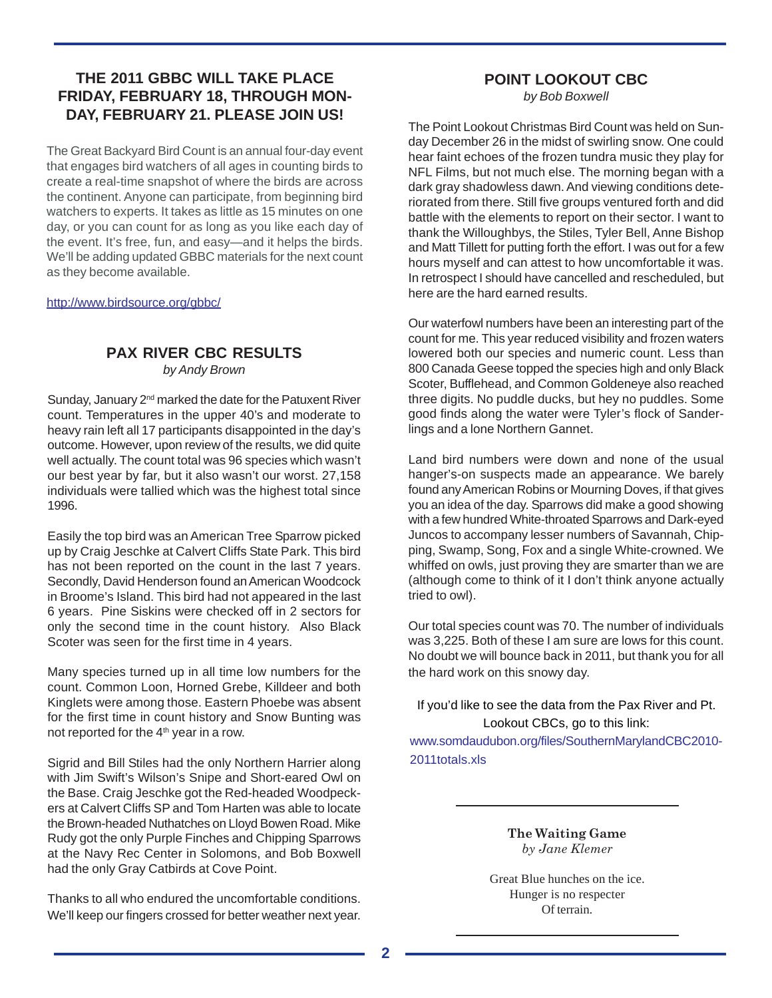# **THE 2011 GBBC WILL TAKE PLACE FRIDAY, FEBRUARY 18, THROUGH MON-DAY, FEBRUARY 21. PLEASE JOIN US!**

The Great Backyard Bird Count is an annual four-day event that engages bird watchers of all ages in counting birds to create a real-time snapshot of where the birds are across the continent. Anyone can participate, from beginning bird watchers to experts. It takes as little as 15 minutes on one day, or you can count for as long as you like each day of the event. It's free, fun, and easy—and it helps the birds. We'll be adding updated GBBC materials for the next count as they become available.

http://www.birdsource.org/gbbc/

# **PAX RIVER CBC RESULTS**

*by Andy Brown*

Sunday, January 2<sup>nd</sup> marked the date for the Patuxent River count. Temperatures in the upper 40's and moderate to heavy rain left all 17 participants disappointed in the day's outcome. However, upon review of the results, we did quite well actually. The count total was 96 species which wasn't our best year by far, but it also wasn't our worst. 27,158 individuals were tallied which was the highest total since 1996.

Easily the top bird was an American Tree Sparrow picked up by Craig Jeschke at Calvert Cliffs State Park. This bird has not been reported on the count in the last 7 years. Secondly, David Henderson found an American Woodcock in Broome's Island. This bird had not appeared in the last 6 years. Pine Siskins were checked off in 2 sectors for only the second time in the count history. Also Black Scoter was seen for the first time in 4 years.

Many species turned up in all time low numbers for the count. Common Loon, Horned Grebe, Killdeer and both Kinglets were among those. Eastern Phoebe was absent for the first time in count history and Snow Bunting was not reported for the 4<sup>th</sup> year in a row.

Sigrid and Bill Stiles had the only Northern Harrier along with Jim Swift's Wilson's Snipe and Short-eared Owl on the Base. Craig Jeschke got the Red-headed Woodpeckers at Calvert Cliffs SP and Tom Harten was able to locate the Brown-headed Nuthatches on Lloyd Bowen Road. Mike Rudy got the only Purple Finches and Chipping Sparrows at the Navy Rec Center in Solomons, and Bob Boxwell had the only Gray Catbirds at Cove Point.

Thanks to all who endured the uncomfortable conditions. We'll keep our fingers crossed for better weather next year.

# **POINT LOOKOUT CBC**

*by Bob Boxwell*

The Point Lookout Christmas Bird Count was held on Sunday December 26 in the midst of swirling snow. One could hear faint echoes of the frozen tundra music they play for NFL Films, but not much else. The morning began with a dark gray shadowless dawn. And viewing conditions deteriorated from there. Still five groups ventured forth and did battle with the elements to report on their sector. I want to thank the Willoughbys, the Stiles, Tyler Bell, Anne Bishop and Matt Tillett for putting forth the effort. I was out for a few hours myself and can attest to how uncomfortable it was. In retrospect I should have cancelled and rescheduled, but here are the hard earned results.

Our waterfowl numbers have been an interesting part of the count for me. This year reduced visibility and frozen waters lowered both our species and numeric count. Less than 800 Canada Geese topped the species high and only Black Scoter, Bufflehead, and Common Goldeneye also reached three digits. No puddle ducks, but hey no puddles. Some good finds along the water were Tyler's flock of Sanderlings and a lone Northern Gannet.

Land bird numbers were down and none of the usual hanger's-on suspects made an appearance. We barely found any American Robins or Mourning Doves, if that gives you an idea of the day. Sparrows did make a good showing with a few hundred White-throated Sparrows and Dark-eyed Juncos to accompany lesser numbers of Savannah, Chipping, Swamp, Song, Fox and a single White-crowned. We whiffed on owls, just proving they are smarter than we are (although come to think of it I don't think anyone actually tried to owl).

Our total species count was 70. The number of individuals was 3,225. Both of these I am sure are lows for this count. No doubt we will bounce back in 2011, but thank you for all the hard work on this snowy day.

If you'd like to see the data from the Pax River and Pt. Lookout CBCs, go to this link:

www.somdaudubon.org/files/SouthernMarylandCBC2010- 2011totals.xls

> **The Waiting Game** *by Jane Klemer*

Great Blue hunches on the ice. Hunger is no respecter Of terrain.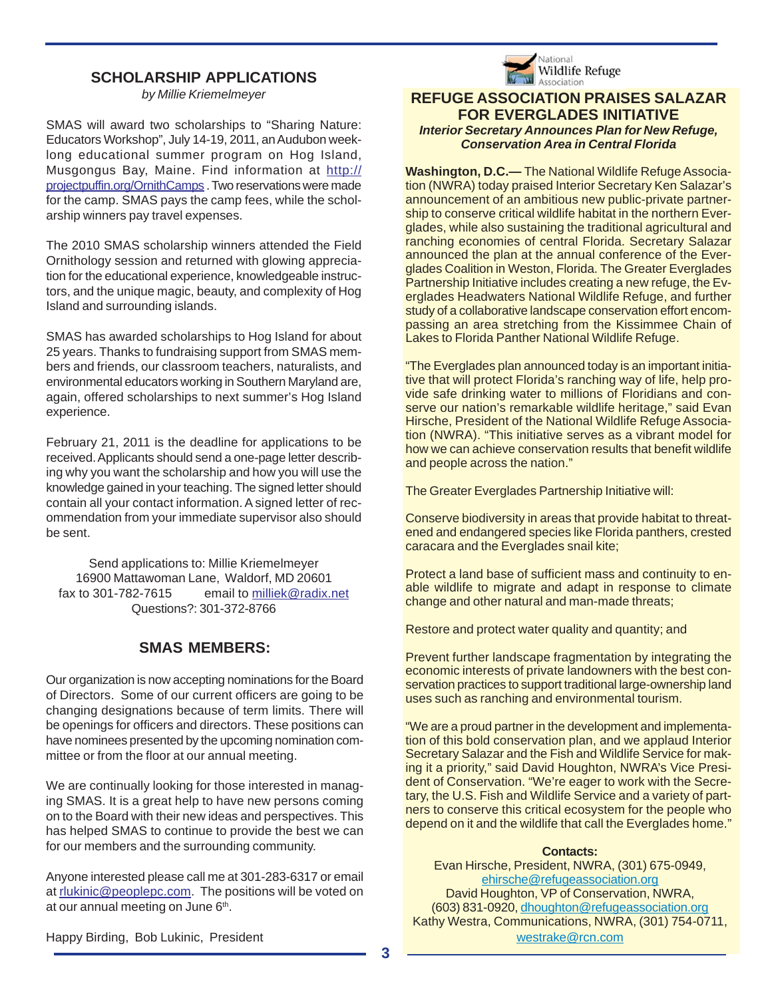# **SCHOLARSHIP APPLICATIONS**

*by Millie Kriemelmeyer*

SMAS will award two scholarships to "Sharing Nature: Educators Workshop", July 14-19, 2011, an Audubon weeklong educational summer program on Hog Island, Musgongus Bay, Maine. Find information at http:// projectpuffin.org/OrnithCamps . Two reservations were made for the camp. SMAS pays the camp fees, while the scholarship winners pay travel expenses.

The 2010 SMAS scholarship winners attended the Field Ornithology session and returned with glowing appreciation for the educational experience, knowledgeable instructors, and the unique magic, beauty, and complexity of Hog Island and surrounding islands.

SMAS has awarded scholarships to Hog Island for about 25 years. Thanks to fundraising support from SMAS members and friends, our classroom teachers, naturalists, and environmental educators working in Southern Maryland are, again, offered scholarships to next summer's Hog Island experience.

February 21, 2011 is the deadline for applications to be received. Applicants should send a one-page letter describing why you want the scholarship and how you will use the knowledge gained in your teaching. The signed letter should contain all your contact information. A signed letter of recommendation from your immediate supervisor also should be sent.

Send applications to: Millie Kriemelmeyer 16900 Mattawoman Lane, Waldorf, MD 20601 fax to 301-782-7615 email to milliek@radix.net Questions?: 301-372-8766

# **SMAS MEMBERS:**

Our organization is now accepting nominations for the Board of Directors. Some of our current officers are going to be changing designations because of term limits. There will be openings for officers and directors. These positions can have nominees presented by the upcoming nomination committee or from the floor at our annual meeting.

We are continually looking for those interested in managing SMAS. It is a great help to have new persons coming on to the Board with their new ideas and perspectives. This has helped SMAS to continue to provide the best we can for our members and the surrounding community.

Anyone interested please call me at 301-283-6317 or email at rlukinic@peoplepc.com. The positions will be voted on at our annual meeting on June  $6<sup>th</sup>$ .



#### **REFUGE ASSOCIATION PRAISES SALAZAR FOR EVERGLADES INITIATIVE** *Interior Secretary Announces Plan for New Refuge, Conservation Area in Central Florida*

**Washington, D.C.—** The National Wildlife Refuge Association (NWRA) today praised Interior Secretary Ken Salazar's announcement of an ambitious new public-private partnership to conserve critical wildlife habitat in the northern Everglades, while also sustaining the traditional agricultural and ranching economies of central Florida. Secretary Salazar announced the plan at the annual conference of the Everglades Coalition in Weston, Florida. The Greater Everglades Partnership Initiative includes creating a new refuge, the Everglades Headwaters National Wildlife Refuge, and further study of a collaborative landscape conservation effort encompassing an area stretching from the Kissimmee Chain of Lakes to Florida Panther National Wildlife Refuge.

"The Everglades plan announced today is an important initiative that will protect Florida's ranching way of life, help provide safe drinking water to millions of Floridians and conserve our nation's remarkable wildlife heritage," said Evan Hirsche, President of the National Wildlife Refuge Association (NWRA). "This initiative serves as a vibrant model for how we can achieve conservation results that benefit wildlife and people across the nation."

The Greater Everglades Partnership Initiative will:

Conserve biodiversity in areas that provide habitat to threatened and endangered species like Florida panthers, crested caracara and the Everglades snail kite;

Protect a land base of sufficient mass and continuity to enable wildlife to migrate and adapt in response to climate change and other natural and man-made threats;

Restore and protect water quality and quantity; and

Prevent further landscape fragmentation by integrating the economic interests of private landowners with the best conservation practices to support traditional large-ownership land uses such as ranching and environmental tourism.

"We are a proud partner in the development and implementation of this bold conservation plan, and we applaud Interior Secretary Salazar and the Fish and Wildlife Service for making it a priority," said David Houghton, NWRA's Vice President of Conservation. "We're eager to work with the Secretary, the U.S. Fish and Wildlife Service and a variety of partners to conserve this critical ecosystem for the people who depend on it and the wildlife that call the Everglades home."

#### **Contacts:**

Evan Hirsche, President, NWRA, (301) 675-0949, ehirsche@refugeassociation.org David Houghton, VP of Conservation, NWRA, (603) 831-0920, dhoughton@refugeassociation.org Kathy Westra, Communications, NWRA, (301) 754-0711, westrake@rcn.com

Happy Birding, Bob Lukinic, President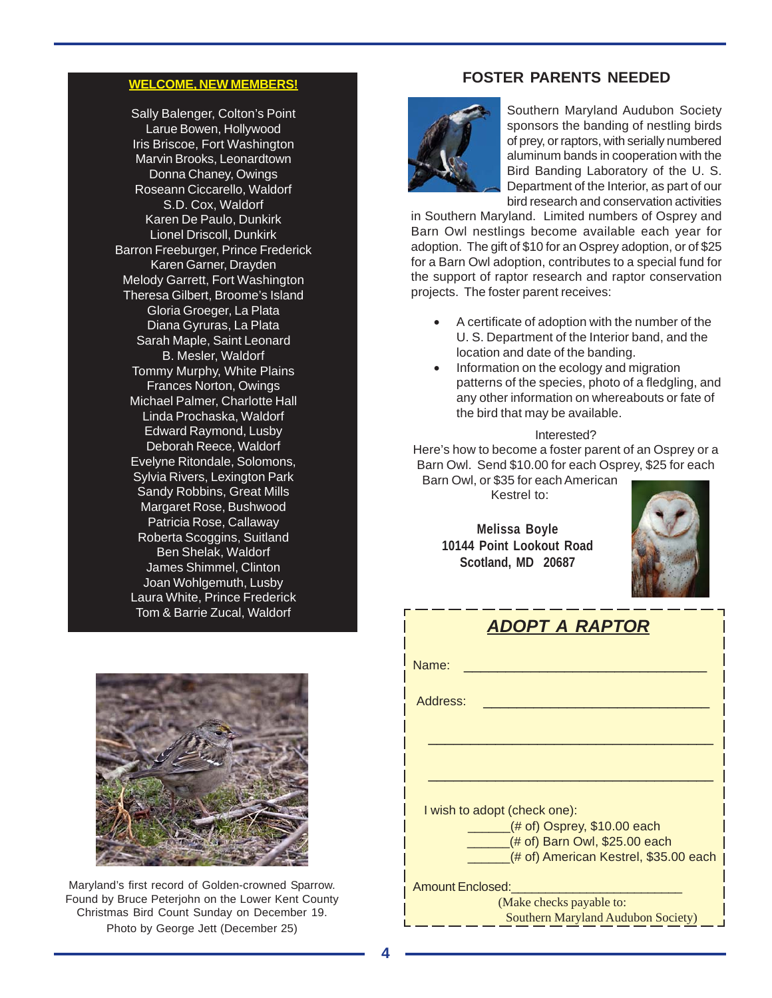## **WELCOME, NEW MEMBERS!**

Sally Balenger, Colton's Point Larue Bowen, Hollywood Iris Briscoe, Fort Washington Marvin Brooks, Leonardtown Donna Chaney, Owings Roseann Ciccarello, Waldorf S.D. Cox, Waldorf Karen De Paulo, Dunkirk Lionel Driscoll, Dunkirk Barron Freeburger, Prince Frederick Karen Garner, Drayden Melody Garrett, Fort Washington Theresa Gilbert, Broome's Island Gloria Groeger, La Plata Diana Gyruras, La Plata Sarah Maple, Saint Leonard B. Mesler, Waldorf Tommy Murphy, White Plains Frances Norton, Owings Michael Palmer, Charlotte Hall Linda Prochaska, Waldorf Edward Raymond, Lusby Deborah Reece, Waldorf Evelyne Ritondale, Solomons, Sylvia Rivers, Lexington Park Sandy Robbins, Great Mills Margaret Rose, Bushwood Patricia Rose, Callaway Roberta Scoggins, Suitland Ben Shelak, Waldorf James Shimmel, Clinton Joan Wohlgemuth, Lusby Laura White, Prince Frederick Tom & Barrie Zucal, Waldorf



Maryland's first record of Golden-crowned Sparrow. Found by Bruce Peterjohn on the Lower Kent County Christmas Bird Count Sunday on December 19. Photo by George Jett (December 25)

## **FOSTER PARENTS NEEDED**



Southern Maryland Audubon Society sponsors the banding of nestling birds of prey, or raptors, with serially numbered aluminum bands in cooperation with the Bird Banding Laboratory of the U. S. Department of the Interior, as part of our bird research and conservation activities

in Southern Maryland. Limited numbers of Osprey and Barn Owl nestlings become available each year for adoption. The gift of \$10 for an Osprey adoption, or of \$25 for a Barn Owl adoption, contributes to a special fund for the support of raptor research and raptor conservation projects. The foster parent receives:

- A certificate of adoption with the number of the U. S. Department of the Interior band, and the location and date of the banding.
- Information on the ecology and migration patterns of the species, photo of a fledgling, and any other information on whereabouts or fate of the bird that may be available.

#### Interested?

Here's how to become a foster parent of an Osprey or a Barn Owl. Send \$10.00 for each Osprey, \$25 for each

Barn Owl, or \$35 for each American Kestrel to:

**Melissa Boyle 10144 Point Lookout Road Scotland, MD 20687**



|                  | <b>ADOPT A RAPTOR</b>                                              |
|------------------|--------------------------------------------------------------------|
| Name:            |                                                                    |
| Address:         |                                                                    |
|                  |                                                                    |
|                  |                                                                    |
|                  | I wish to adopt (check one):                                       |
|                  | $($ # of) Osprey, \$10.00 each<br>$($ # of) Barn Owl, \$25.00 each |
|                  | (# of) American Kestrel, \$35.00 each                              |
| Amount Enclosed: |                                                                    |
|                  | (Make checks payable to:                                           |

Southern Maryland Audubon Society)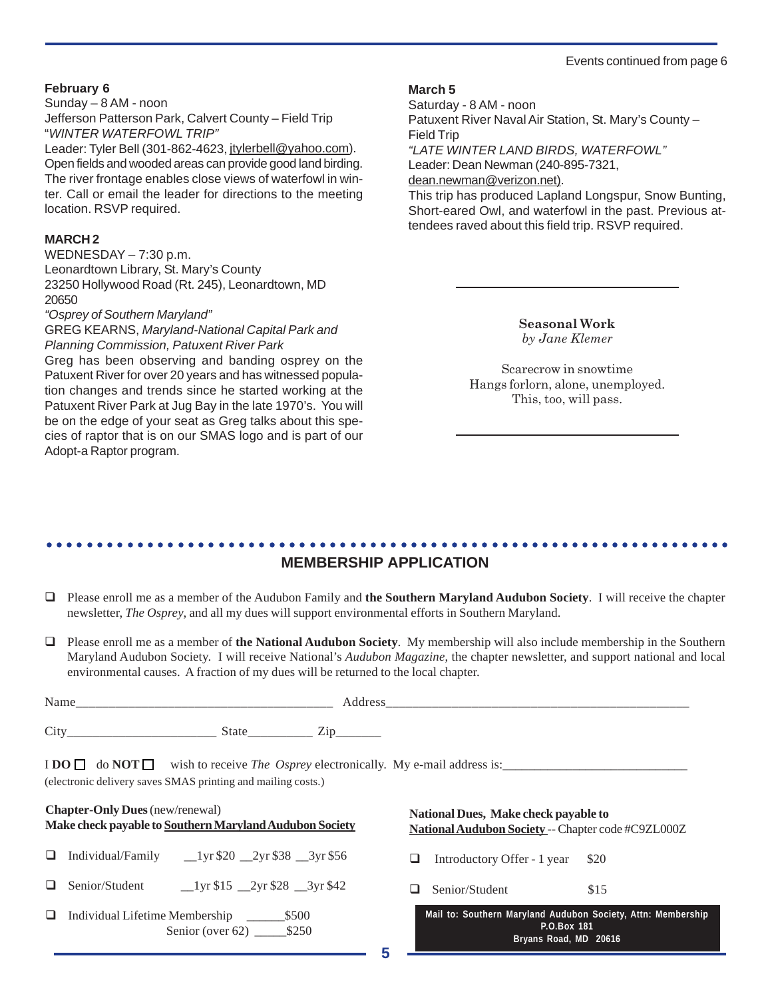#### Events continued from page 6

#### **February 6**

Sunday – 8 AM - noon Jefferson Patterson Park, Calvert County – Field Trip "*WINTER WATERFOWL TRIP"*

Leader: Tyler Bell (301-862-4623, jtylerbell@yahoo.com). Open fields and wooded areas can provide good land birding. The river frontage enables close views of waterfowl in winter. Call or email the leader for directions to the meeting location. RSVP required.

#### **MARCH 2**

WEDNESDAY – 7:30 p.m. Leonardtown Library, St. Mary's County 23250 Hollywood Road (Rt. 245), Leonardtown, MD 20650

#### *"Osprey of Southern Maryland"*

#### GREG KEARNS, *Maryland-National Capital Park and Planning Commission, Patuxent River Park*

Greg has been observing and banding osprey on the Patuxent River for over 20 years and has witnessed population changes and trends since he started working at the Patuxent River Park at Jug Bay in the late 1970's. You will be on the edge of your seat as Greg talks about this species of raptor that is on our SMAS logo and is part of our Adopt-a Raptor program.

#### **March 5**

Saturday - 8 AM - noon Patuxent River Naval Air Station, St. Mary's County – Field Trip *"LATE WINTER LAND BIRDS, WATERFOWL"* Leader: Dean Newman (240-895-7321, dean.newman@verizon.net). This trip has produced Lapland Longspur, Snow Bunting, Short-eared Owl, and waterfowl in the past. Previous attendees raved about this field trip. RSVP required.

> **Seasonal Work** *by Jane Klemer*

Scarecrow in snowtime Hangs forlorn, alone, unemployed. This, too, will pass.

#### ○○○○○○○○○○○○○○○○○○○○○○○○○○○○○○○○○○○○○○○○○○○○ ○○○○○○○○○○○○○○○○○○○○○○○○ **MEMBERSHIP APPLICATION**

- Please enroll me as a member of the Audubon Family and **the Southern Maryland Audubon Society**. I will receive the chapter newsletter, *The Osprey*, and all my dues will support environmental efforts in Southern Maryland.
- Please enroll me as a member of **the National Audubon Society**. My membership will also include membership in the Southern Maryland Audubon Society. I will receive National's *Audubon Magazine*, the chapter newsletter, and support national and local environmental causes. A fraction of my dues will be returned to the local chapter.

|                                                                                                   |  | Name                                                                |  |   |                                                                                                                              |      |  |
|---------------------------------------------------------------------------------------------------|--|---------------------------------------------------------------------|--|---|------------------------------------------------------------------------------------------------------------------------------|------|--|
|                                                                                                   |  |                                                                     |  |   |                                                                                                                              |      |  |
|                                                                                                   |  | (electronic delivery saves SMAS printing and mailing costs.)        |  |   | $\text{I} \text{DO} \square$ do $\text{NOT} \square$ wish to receive <i>The Osprey</i> electronically. My e-mail address is: |      |  |
| <b>Chapter-Only Dues</b> (new/renewal)<br>Make check payable to Southern Maryland Audubon Society |  |                                                                     |  |   | National Dues, Make check payable to<br>National Audubon Society -- Chapter code #C9ZL000Z                                   |      |  |
| $\Box$                                                                                            |  | Individual/Family $_{20}$ $_{2yr}$ \$20 $_{2yr}$ \$38 $_{3yr}$ \$56 |  | ப | Introductory Offer - 1 year \$20                                                                                             |      |  |
| $\Box$                                                                                            |  |                                                                     |  |   | $\Box$ Senior/Student                                                                                                        | \$15 |  |

 Individual Lifetime Membership \_\_\_\_\_\_\$500 Senior (over 62) \_\_\_\_\_\_\_ \$250

**Mail to: Southern Maryland Audubon Society, Attn: Membership P.O.Box 181 Bryans Road, MD 20616**